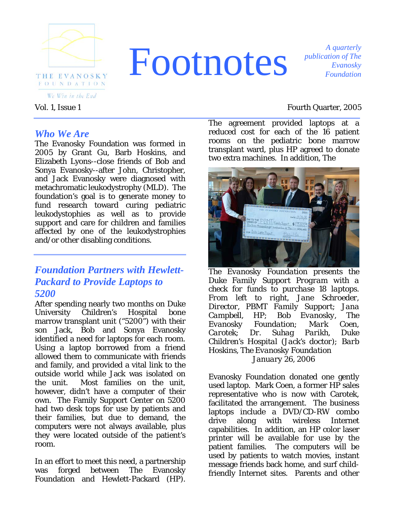

# *A quarterly A quarterly Evanosky*

*publication of The Evanosky Foundation*

#### Vol. 1, Issue 1 Fourth Quarter, 2005

*Who We Are* 

The Evanosky Foundation was formed in 2005 by Grant Gu, Barb Hoskins, and Elizabeth Lyons--close friends of Bob and Sonya Evanosky--after John, Christopher, and Jack Evanosky were diagnosed with metachromatic leukodystrophy (MLD). The foundation's goal is to generate money to fund research toward curing pediatric leukodystophies as well as to provide support and care for children and families affected by one of the leukodystrophies and/or other disabling conditions.

### *Foundation Partners with Hewlett-Packard to Provide Laptops to 5200*

After spending nearly two months on Duke University Children's Hospital bone marrow transplant unit ("5200") with their son Jack, Bob and Sonya Evanosky identified a need for laptops for each room. Using a laptop borrowed from a friend allowed them to communicate with friends and family, and provided a vital link to the outside world while Jack was isolated on the unit. Most families on the unit, however, didn't have a computer of their own. The Family Support Center on 5200 had two desk tops for use by patients and their families, but due to demand, the computers were not always available, plus they were located outside of the patient's room.

In an effort to meet this need, a partnership was forged between The Evanosky Foundation and Hewlett-Packard (HP).

The agreement provided laptops at a reduced cost for each of the 16 patient rooms on the pediatric bone marrow transplant ward, plus HP agreed to donate two extra machines. In addition, The



*The Evanosky Foundation presents the Duke Family Support Program with a check for funds to purchase 18 laptops. From left to right, Jane Schroeder, Director, PBMT Family Support; Jana Campbell, HP; Bob Evanosky, The Evanosky Foundation; Mark Coen, Carotek; Dr. Suhag Parikh, Duke Children's Hospital (Jack's doctor); Barb Hoskins, The Evanosky Foundation January 26, 2006* 

Evanosky Foundation donated one gently used laptop. Mark Coen, a former HP sales representative who is now with Carotek, facilitated the arrangement. The business laptops include a DVD/CD-RW combo drive along with wireless Internet capabilities. In addition, an HP color laser printer will be available for use by the patient families. The computers will be used by patients to watch movies, instant message friends back home, and surf childfriendly Internet sites. Parents and other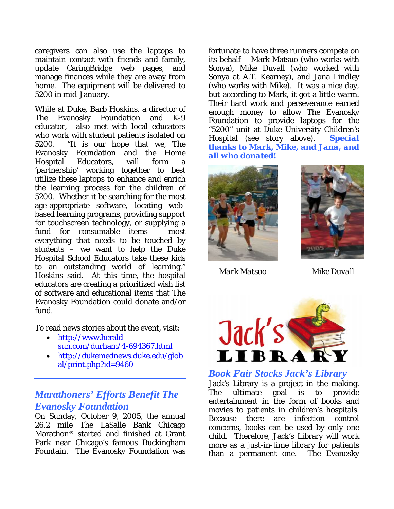caregivers can also use the laptops to maintain contact with friends and family, update CaringBridge web pages, and manage finances while they are away from home. The equipment will be delivered to 5200 in mid-January.

While at Duke, Barb Hoskins, a director of The Evanosky Foundation and K-9 educator, also met with local educators who work with student patients isolated on 5200. "It is our hope that we, The Evanosky Foundation and the Home Hospital Educators, will form a 'partnership' working together to best utilize these laptops to enhance and enrich the learning process for the children of 5200. Whether it be searching for the most age-appropriate software, locating webbased learning programs, providing support for touchscreen technology, or supplying a fund for consumable items - most everything that needs to be touched by students – we want to help the Duke Hospital School Educators take these kids to an outstanding world of learning," Hoskins said. At this time, the hospital educators are creating a prioritized wish list of software and educational items that The Evanosky Foundation could donate and/or fund.

To read news stories about the event, visit:

- [http://www.herald](http://www.herald-sun.com/durham/4-694367.html)[sun.com/durham/4-694367.html](http://www.herald-sun.com/durham/4-694367.html)
- [http://dukemednews.duke.edu/glob](http://dukemednews.duke.edu/global/print.php?id=9460) [al/print.php?id=9460](http://dukemednews.duke.edu/global/print.php?id=9460)

#### *Marathoners' Efforts Benefit The Evanosky Foundation*

On Sunday, October 9, 2005, the annual 26.2 mile The LaSalle Bank Chicago Marathon® started and finished at Grant Park near Chicago's famous Buckingham Fountain. The Evanosky Foundation was fortunate to have three runners compete on its behalf – Mark Matsuo (who works with Sonya), Mike Duvall (who worked with Sonya at A.T. Kearney), and Jana Lindley (who works with Mike). It was a nice day, but according to Mark, it got a little warm. Their hard work and perseverance earned enough money to allow The Evanosky Foundation to provide laptops for the "5200" unit at Duke University Children's Hospital (see story above). *Special thanks to Mark, Mike, and Jana, and all who donated!* 





*Mark Matsuo Mike Duvall*



*Book Fair Stocks Jack's Library*  Jack's Library is a project in the making. The ultimate goal is to provide entertainment in the form of books and movies to patients in children's hospitals. Because there are infection control concerns, books can be used by only one child. Therefore, Jack's Library will work more as a just-in-time library for patients than a permanent one. The Evanosky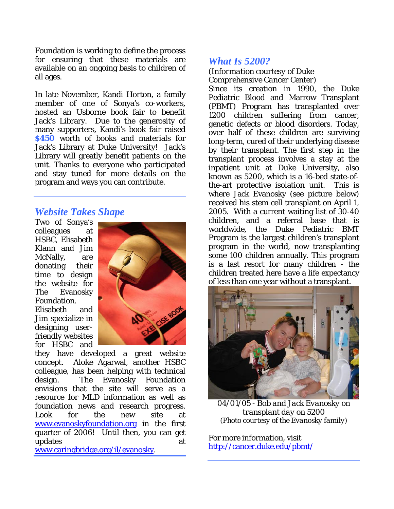Foundation is working to define the process for ensuring that these materials are available on an ongoing basis to children of all ages.

In late November, Kandi Horton, a family member of one of Sonya's co-workers, hosted an Usborne book fair to benefit Jack's Library. Due to the generosity of many supporters, Kandi's book fair raised **\$450** worth of books and materials for Jack's Library at Duke University! Jack's Library will greatly benefit patients on the unit. Thanks to everyone who participated and stay tuned for more details on the program and ways you can contribute.

#### *Website Takes Shape*

Two of Sonya's colleagues at HSBC, Elisabeth Klann and Jim McNally, are donating their time to design the website for The Evanosky Foundation. Elisabeth and Jim specialize in designing userfriendly w ebsites for HSBC and



they have developed a great website concept. Aloke Agarwal, another HSBC colleague, has been helping with technical design. The Evanosky Foundation envisions that the site will serve as a resource for MLD information as well as foundation news and research progress. Look for the new site at [www.evanoskyfoundation.org](http://www.evanoskyfoundation.org/) in the first quarter of 2006! Until then, you can get updates at a strategies at a strategies at a strategies at a strategies at a strategies at a strategies at a strategies at a strategies at a strategies at a strategies at a strategies at a strategies at a strategies at a s

[ww](http://www.whitehouse.gov/news/releases/2005/12/images/20051220-1_p122005pm-0181-515h.html)w.caringbridge.org/il/evanosky[.](http://www.caringbridge.org/il/evanosky) 

#### *What Is 5200?*

#### *(Information courtesy of Duke Comprehensive Cancer Center)*

Since its creation in 1990, the Duke Pediatric Blood and Marrow Transplant (PBMT) Program has transplanted over 1200 children suffering from cancer, genetic defects or blood disorders. Today, over half of these children are surviving long-term, cured of their underlying disease by their transplant. The first step in the transplant process involves a stay at the inpatient unit at Duke University, also known as 5200, which is a 16-bed state-ofthe-art protective isolation unit. This is where Jack Evanosky (see picture below) received his stem cell transplant on April 1, 2005. With a current waiting list of 30-40 children, and a referral base that is worldwide, the Duke Pediatric BMT Program is the largest children's transplant program in the world, now transplanting some 100 children annually. This program is a last resort for many children - the children treated here have a life expectancy of less than one year without a transplant.



*04/01/05 - Bob and Jack Evanosky on transplant day on 5200 (Photo courtesy of the Evanosky family)* 

For more information, visit <http://cancer.duke.edu/pbmt/>